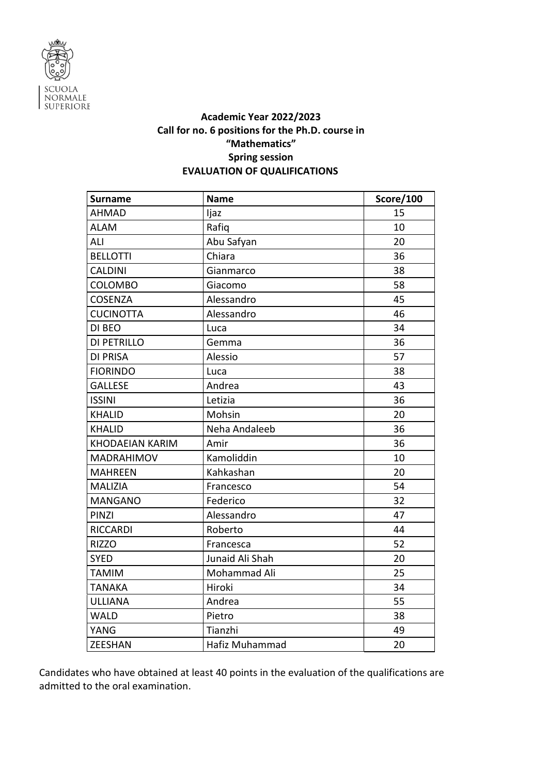

## **Academic Year 2022/2023 Call for no. 6 positions for the Ph.D. course in "Mathematics" Spring session EVALUATION OF QUALIFICATIONS**

| <b>Surname</b>         | <b>Name</b>     | <b>Score/100</b> |
|------------------------|-----------------|------------------|
| <b>AHMAD</b>           | ljaz            | 15               |
| <b>ALAM</b>            | Rafiq           | 10               |
| ALI                    | Abu Safyan      | 20               |
| <b>BELLOTTI</b>        | Chiara          | 36               |
| <b>CALDINI</b>         | Gianmarco       | 38               |
| <b>COLOMBO</b>         | Giacomo         | 58               |
| <b>COSENZA</b>         | Alessandro      | 45               |
| <b>CUCINOTTA</b>       | Alessandro      | 46               |
| DI BEO                 | Luca            | 34               |
| <b>DI PETRILLO</b>     | Gemma           | 36               |
| <b>DI PRISA</b>        | Alessio         | 57               |
| <b>FIORINDO</b>        | Luca            | 38               |
| <b>GALLESE</b>         | Andrea          | 43               |
| <b>ISSINI</b>          | Letizia         | 36               |
| <b>KHALID</b>          | Mohsin          | 20               |
| <b>KHALID</b>          | Neha Andaleeb   | 36               |
| <b>KHODAEIAN KARIM</b> | Amir            | 36               |
| <b>MADRAHIMOV</b>      | Kamoliddin      | 10               |
| <b>MAHREEN</b>         | Kahkashan       | 20               |
| <b>MALIZIA</b>         | Francesco       | 54               |
| <b>MANGANO</b>         | Federico        | 32               |
| PINZI                  | Alessandro      | 47               |
| <b>RICCARDI</b>        | Roberto         | 44               |
| <b>RIZZO</b>           | Francesca       | 52               |
| <b>SYED</b>            | Junaid Ali Shah | 20               |
| <b>TAMIM</b>           | Mohammad Ali    | 25               |
| <b>TANAKA</b>          | Hiroki          | 34               |
| <b>ULLIANA</b>         | Andrea          | 55               |
| <b>WALD</b>            | Pietro          | 38               |
| YANG                   | Tianzhi         | 49               |
| <b>ZEESHAN</b>         | Hafiz Muhammad  | 20               |

Candidates who have obtained at least 40 points in the evaluation of the qualifications are admitted to the oral examination.